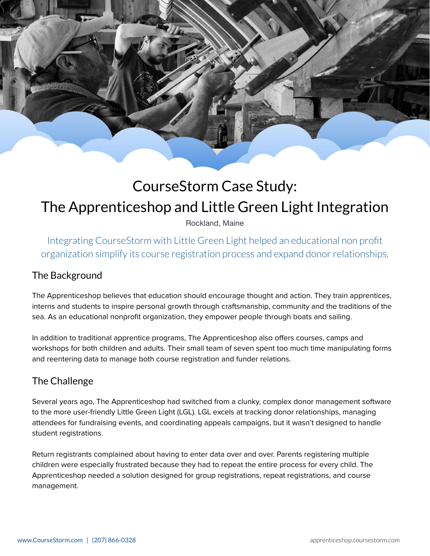# CourseStorm Case Study: The Apprenticeshop and Little Green Light Integration

Rockland, Maine

Integrating CourseStorm with Little Green Light helped an educational non profit organization simplify its course registration process and expand donor relationships.

### The Background

The Apprenticeshop believes that education should encourage thought and action. They train apprentices, interns and students to inspire personal growth through craftsmanship, community and the traditions of the sea. As an educational nonprofit organization, they empower people through boats and sailing.

In addition to traditional apprentice programs, The Apprenticeshop also offers courses, camps and workshops for both children and adults. Their small team of seven spent too much time manipulating forms and reentering data to manage both course registration and funder relations.

# The Challenge

Several years ago, The Apprenticeshop had switched from a clunky, complex donor management software to the more user-friendly Little Green Light (LGL). LGL excels at tracking donor relationships, managing attendees for fundraising events, and coordinating appeals campaigns, but it wasn't designed to handle student registrations.

Return registrants complained about having to enter data over and over. Parents registering multiple children were especially frustrated because they had to repeat the entire process for every child. The Apprenticeshop needed a solution designed for group registrations, repeat registrations, and course management.